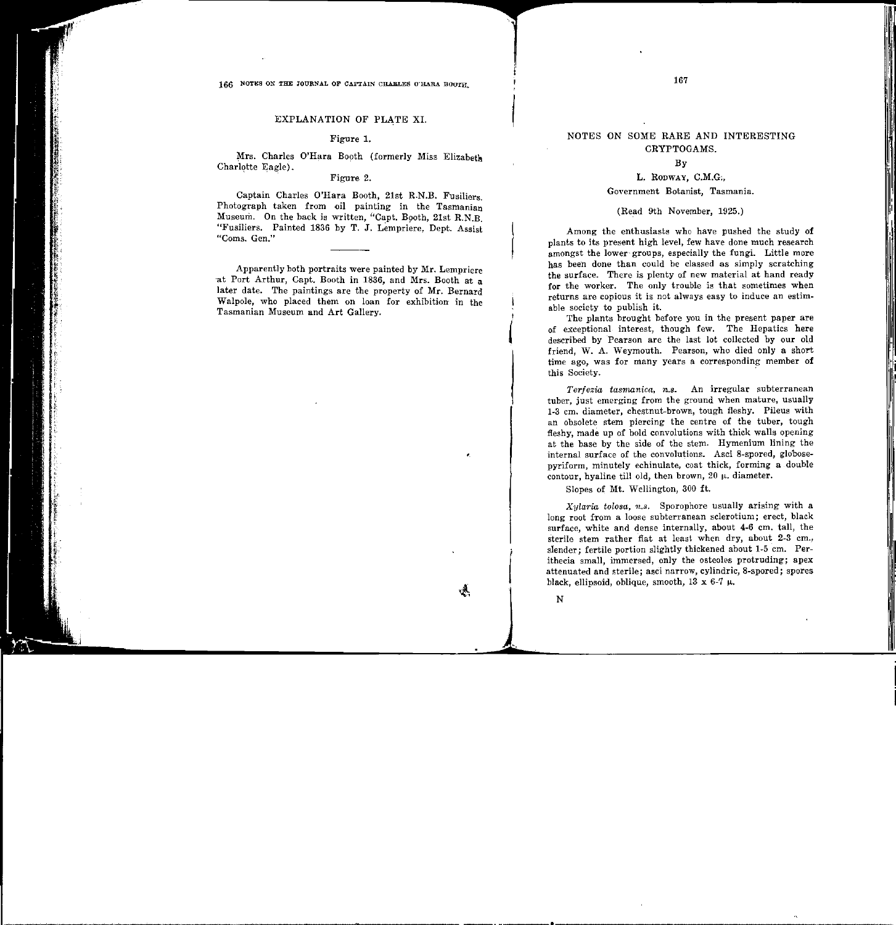## NOTES ON SOME RARE AND INTERESTING CRYPTOGAMS.

#### By

# L. RODWAY, C.M.G;,

## Government Botanist, Tasmania.

## (Read 9th November, 1925.)

Among the enthusiasts who have pushed the study of plants to its present high level, few have done much research amongst the lower-groups, especially the fungi. Little more has been done than could be classed as simply scratching the surface. There is plenty of new material at hand ready for the worker. The only trouble is that sometimes when returns are copious it is not always easy to induce an estimable society to publish it.

The plants brought before you in the present paper are of exceptional interest, though few. The Hepatics here described by Pearson are the last lot collected by our old friend, W. A. Weymouth. Pearson, who died only a short time ago, was for many years a corresponding member of this Society.

*Terfezia tasmanica, n.s.* An irregular subterranean tuber, just emerging from the ground when mature, usually 1-3 em. diameter, chestnut-brown, tough fleshy. Pileus with an obsolete stem piercing the centre of the tuber, tough fleshy, made up of bold convolutions with thick walls opening at the base by the side of the stem. Hymenium lining the internal surface of the convolutions. Asci 8-spored, globosepyriform, minutely echinulate, coat thick, forming a double contour, hyaline till old, then brown,  $20 \mu$ . diameter.

Slopes of Mt. Wellington, 300 ft.

*Xylaria tolosa, n.s.* Sporophore usually arising with a long root from a loose subterranean sclerotium; erect, black surface, white and dense internally, about 4-6 em. tall, the sterile stem rather flat at least when dry, about 2-3 cm., slender; fertile portion slightly thickened about 1-5 em. Perithecia small, immersed, only the osteoles protruding; apex attenuated and sterile; asci narrow, cylindric, 8-spored; spores black, ellipsoid, oblique, smooth,  $13 \times 6-7 \mu$ .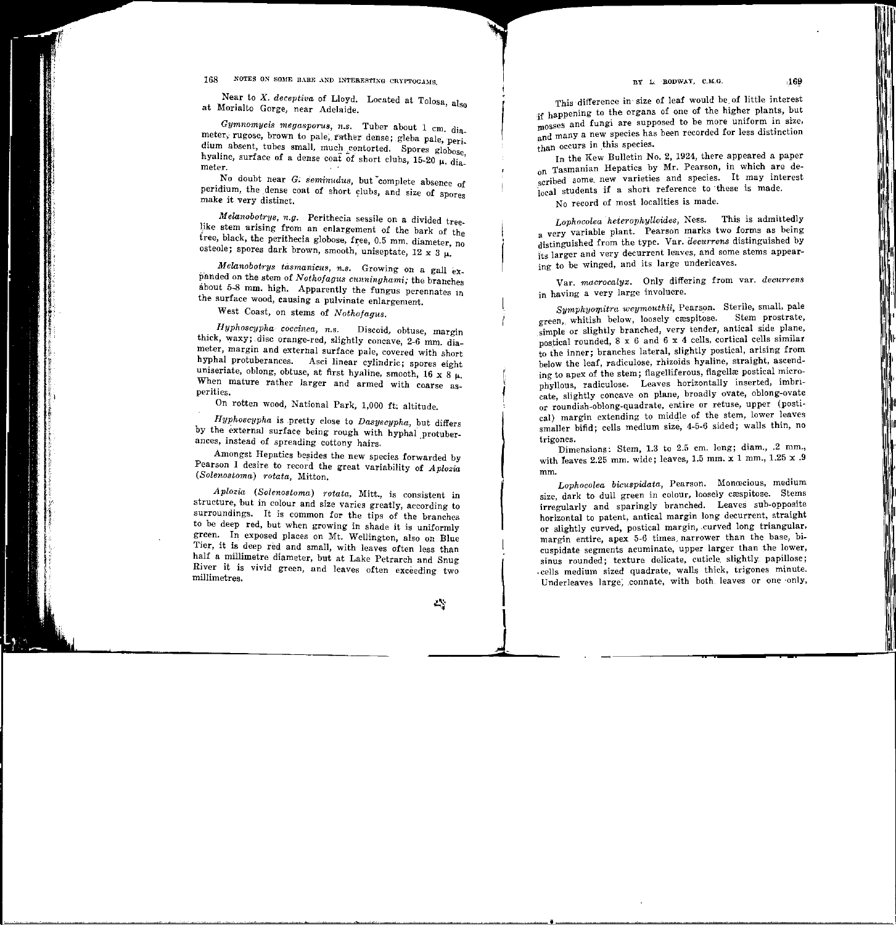BY L: RODWAY, C.M.G.

### 168 NOTES ON SOME RARE AND INTERESTING CRYPTOGAMS.

Near to *X. deceptiva* of Lloyd. Located at Tolosa, also at Morialto Gorge, near Adelaide.

Gymnomycis megasporus, n.s. Tuber about 1 cm. diameter, rugose, brown to pale, rather dense; gleba pale, peri. dium absent, tubes small, much contorted. Spores globose, hyaline, surface of a dense coat of short clubs, 15-20  $\mu$ . dia. meter.

 No doubt near G; *seminudus,* but -complete absence of peridium, the dense coat of short clubs, and size of spores make it very distinct.

*Melanobotrys, n.g.* Perithecia sessile on a divided treelike stem arising from an enlargement of the bark of the tree. black, the perithecia globose, free, 0.5 mm. diameter, no osteole; spores dark brown, smooth, uniseptate, 12 x 3  $\mu$ .

*Melanobotrys tasmanicus, n.s.* Growing on a gall exp'anded on the stem of *Nothofagus cunninghami;* the branches about 5-8 mm. high. Apparently the fungus perennates in the surface wood, causing a pulvinate enlargement.

West Coast, on stems of *Nothofagus.* 

*Hyphoscypha coccinea, n.s.* Discoid, obtuse, margin thick, waxy; disc orange-red, slightly concave, 2-6 mm. diameter, margin and external surface pale, covered with short hypha! protuberances. Asci linear cylindric; spores eight uniseriate, oblong, obtuse, at first hyaline, smooth, 16 x 8  $\mu$ . When mature rather larger and armed with coarse asperities.

On rotten wood, National Park, 1,000 ft; altitude.

*Hyphoscypha* is ,pretty close to *Dasyscypha,* but differs by the external surface being rough with hyphal protuberances, instead of spreading cottony hairs.

Amongst Hepatics besides the new species forwarded by Pearson I desire to record the great variability of *Aplozia (Solenostoma) rotata,* Mitton.

*Aplozia (Solenostoma) rotata,* Mitt., is consistent in structure, but in colour and size varies greatly, according to surroundings. It is common for the tips of the branches to be deep red, but when growing in shade it is uniformly green. In exposed places on Mt. Wellington, also on Blue Tier, it is deep red and small, with leaves often less than half a millimetre diameter, but at Lake Petrarch and Snug River it is vivid green, and leaves often exceeding two millimetres.

This· difference in· size of leaf would be. of little interest jf happening to the organs of one of the higher plants, but rnosses and fungi are supposed to be more uniform in size, and many a new species has been recorded for less distinction than occurs in this species.

In the Kew Bulletin No.2, 1924, there appeared a paper on Tasmanian Hepatics by Mr. Pearson, in which are described some new varieties and species. It may interest  $\frac{1}{10}$  students if a short reference to these is made.

No record of most localities is made.

*Lophocolea heierophylloides,* Ness. This is admittedly a very variable plant. Pearson marks two forms as being distinguished from the type. Var. *decurrens* distinguished by its larger and very decurrent leaves, and some stems appearing to be winged, and its large underleaves.

Var. *macrocalyx.* Only differing from var. *decurrens*  in having a very large involucre.

*Symphyomitra weymouthii, Pearson.* Sterile, small, pale green, whitish below, loosely cæspitose. Stem prostrate, simple or slightly branched, very tender, antical side plane, postical rounded, 8 x 6 and 6 x 4 cells, cortical cells similar to the inner; branches lateral, slightly postical, arising from below the leaf, radiculose, rhizoids hyaline, straight, ascending to apex of the stem; flagelliferous, flagellæ postical microphyllous, radiculose. Leaves horizontally inserted, imbricate, slightly concave on plane, broadly ovate, oblong-ovate or roundish-oblong-quadrate, entire or retuse, upper (postical) margin extending to middle of the stem, lower leaves smaller bifid; cells medium size, 4-5-6 sided; walls thin, no trigones.

Dimensions: Stem, 1.3 to 2.5 em. long; diam., .2 mm., with leaves 2.25 mm. wide; leaves, 1.5 mm. x 1 mm., 1.25 x .9 mm.

Lophocolea bicuspidata, Pearson. Monœcious, medium size, dark to dull green in colour, loosely cæspitose. Stems irregularly and sparingly branched. Leaves sub-opposite horizontal to patent, antical margin long decurrent, straight or slightly curved, postical margin, .curved long triangular, margin entire, apex 5-6 times narrower than the base, bicuspidate segments acuminate, upper larger than the lower, sinus rounded; texture delicate, cuticle. slightly. papillose; . cells medium sized quadrate, walls thick, trigones minute. Underleaves large, connate, with both leaves or one only,

 $\vert$